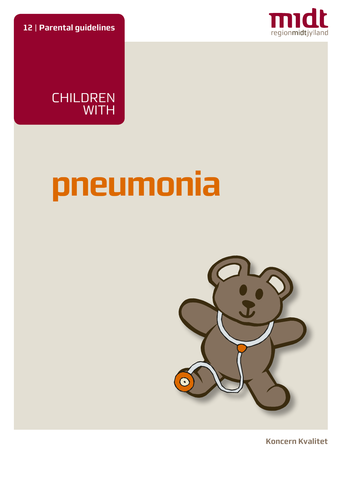**12** | **Parental guidelines**





# **pneumonia**



**Koncern Kvalitet**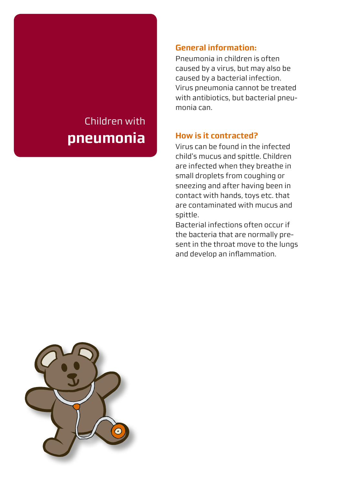# Children with **pneumonia**

## **General information:**

Pneumonia in children is often caused by a virus, but may also be caused by a bacterial infection. Virus pneumonia cannot be treated with antibiotics, but bacterial pneumonia can.

## **How is it contracted?**

Virus can be found in the infected child's mucus and spittle. Children are infected when they breathe in small droplets from coughing or sneezing and after having been in contact with hands, toys etc. that are contaminated with mucus and spittle.

Bacterial infections often occur if the bacteria that are normally present in the throat move to the lungs and develop an inflammation.

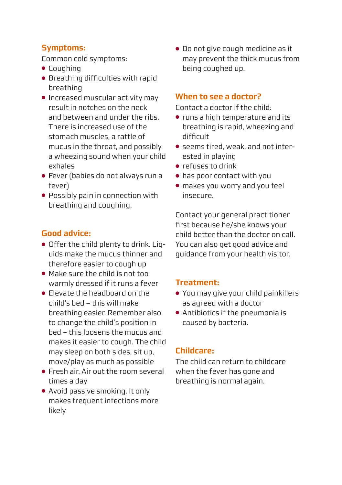# **Symptoms:**

Common cold symptoms:

- Coughing
- Breathing difficulties with rapid breathing
- Increased muscular activity may result in notches on the neck and between and under the ribs. There is increased use of the stomach muscles, a rattle of mucus in the throat, and possibly a wheezing sound when your child exhales
- Fever (babies do not always run a fever)
- Possibly pain in connection with breathing and coughing.

# **Good advice:**

- Offer the child plenty to drink. Liquids make the mucus thinner and therefore easier to cough up
- Make sure the child is not too warmly dressed if it runs a fever
- Elevate the headboard on the child's bed – this will make breathing easier. Remember also to change the child's position in bed – this loosens the mucus and makes it easier to cough. The child may sleep on both sides, sit up, move/play as much as possible
- Fresh air. Air out the room several times a day
- Avoid passive smoking. It only makes frequent infections more likely

● Do not give cough medicine as it may prevent the thick mucus from being coughed up.

# **When to see a doctor?**

Contact a doctor if the child:

- runs a high temperature and its breathing is rapid, wheezing and difficult
- seems tired, weak, and not interested in playing
- refuses to drink
- has poor contact with you
- makes you worry and you feel insecure.

Contact your general practitioner first because he/she knows your child better than the doctor on call. You can also get good advice and guidance from your health visitor.

# **Treatment:**

- You may give your child painkillers as agreed with a doctor
- Antibiotics if the pneumonia is caused by bacteria.

# **Childcare:**

The child can return to childcare when the fever has gone and breathing is normal again.